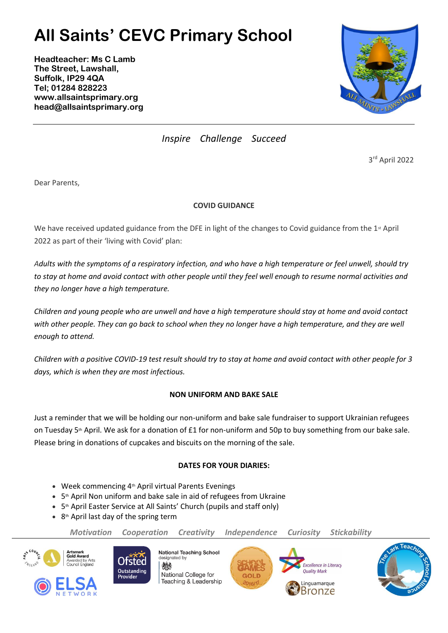## **All Saints' CEVC Primary School**

**Headteacher: Ms C Lamb The Street, Lawshall, Suffolk, IP29 4QA Tel; 01284 828223 www.allsaintsprimary.org head@allsaintsprimary.org**



*Inspire Challenge Succeed*

3 rd April 2022

Dear Parents,

## **COVID GUIDANCE**

We have received updated guidance from the DFE in light of the changes to Covid guidance from the 1<sup>st</sup> April 2022 as part of their 'living with Covid' plan:

*Adults with the symptoms of a respiratory infection, and who have a high temperature or feel unwell, should try to stay at home and avoid contact with other people until they feel well enough to resume normal activities and they no longer have a high temperature.*

*Children and young people who are unwell and have a high temperature should stay at home and avoid contact*  with other people. They can go back to school when they no longer have a high temperature, and they are well *enough to attend.*

*Children with a positive COVID-19 test result should try to stay at home and avoid contact with other people for 3 days, which is when they are most infectious.*

## **NON UNIFORM AND BAKE SALE**

Just a reminder that we will be holding our non-uniform and bake sale fundraiser to support Ukrainian refugees on Tuesday 5<sup>th</sup> April. We ask for a donation of £1 for non-uniform and 50p to buy something from our bake sale. Please bring in donations of cupcakes and biscuits on the morning of the sale.

## **DATES FOR YOUR DIARIES:**

- Week commencing 4<sup>th</sup> April virtual Parents Evenings
- 5<sup>th</sup> April Non uniform and bake sale in aid of refugees from Ukraine
- 5<sup>th</sup> April Easter Service at All Saints' Church (pupils and staff only)
- $\bullet$  8<sup>th</sup> April last day of the spring term

*Motivation Cooperation Creativity Independence Curiosity Stickability*





燃 National College for Teaching & Leadership